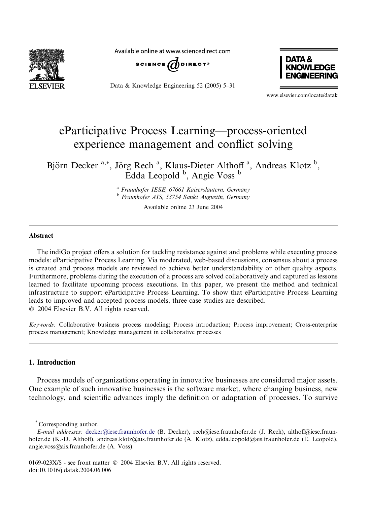

Available online at www.sciencedirect.com



Data & Knowledge Engineering 52 (2005) 5–31



www.elsevier.com/locate/datak

## eParticipative Process Learning––process-oriented experience management and conflict solving

Björn Decker<sup>a,\*</sup>, Jörg Rech<sup>a</sup>, Klaus-Dieter Althoff<sup>a</sup>, Andreas Klotz<sup>b</sup>, Edda Leopold <sup>b</sup>, Angie Voss <sup>b</sup>

> <sup>a</sup> Fraunhofer IESE, 67661 Kaiserslautern, Germany <sup>b</sup> Fraunhofer AIS, 53754 Sankt Augustin, Germany

> > Available online 23 June 2004

## Abstract

The indiGo project offers a solution for tackling resistance against and problems while executing process models: eParticipative Process Learning. Via moderated, web-based discussions, consensus about a process is created and process models are reviewed to achieve better understandability or other quality aspects. Furthermore, problems during the execution of a process are solved collaboratively and captured as lessons learned to facilitate upcoming process executions. In this paper, we present the method and technical infrastructure to support eParticipative Process Learning. To show that eParticipative Process Learning leads to improved and accepted process models, three case studies are described. 2004 Elsevier B.V. All rights reserved.

Keywords: Collaborative business process modeling; Process introduction; Process improvement; Cross-enterprise process management; Knowledge management in collaborative processes

## 1. Introduction

Process models of organizations operating in innovative businesses are considered major assets. One example of such innovative businesses is the software market, where changing business, new technology, and scientific advances imply the definition or adaptation of processes. To survive

\* Corresponding author.

E-mail addresses: [decker@iese.fraunhofer.de](mail to: decker@iese.fraunhofer.de) (B. Decker), rech@iese.fraunhofer.de (J. Rech), althoff@iese.fraunhofer.de (K.-D. Althoff), andreas.klotz@ais.fraunhofer.de (A. Klotz), edda.leopold@ais.fraunhofer.de (E. Leopold), angie.voss@ais.fraunhofer.de (A. Voss).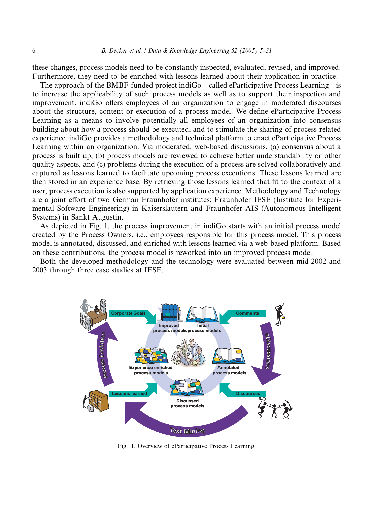these changes, process models need to be constantly inspected, evaluated, revised, and improved. Furthermore, they need to be enriched with lessons learned about their application in practice.

The approach of the BMBF-funded project indiGo––called eParticipative Process Learning––is to increase the applicability of such process models as well as to support their inspection and improvement. indiGo offers employees of an organization to engage in moderated discourses about the structure, content or execution of a process model. We define eParticipative Process Learning as a means to involve potentially all employees of an organization into consensus building about how a process should be executed, and to stimulate the sharing of process-related experience. indiGo provides a methodology and technical platform to enact eParticipative Process Learning within an organization. Via moderated, web-based discussions, (a) consensus about a process is built up, (b) process models are reviewed to achieve better understandability or other quality aspects, and (c) problems during the execution of a process are solved collaboratively and captured as lessons learned to facilitate upcoming process executions. These lessons learned are then stored in an experience base. By retrieving those lessons learned that fit to the context of a user, process execution is also supported by application experience. Methodology and Technology are a joint effort of two German Fraunhofer institutes: Fraunhofer IESE (Institute for Experimental Software Engineering) in Kaiserslautern and Fraunhofer AIS (Autonomous Intelligent Systems) in Sankt Augustin.

As depicted in Fig. 1, the process improvement in indiGo starts with an initial process model created by the Process Owners, i.e., employees responsible for this process model. This process model is annotated, discussed, and enriched with lessons learned via a web-based platform. Based on these contributions, the process model is reworked into an improved process model.

Both the developed methodology and the technology were evaluated between mid-2002 and 2003 through three case studies at IESE.



Fig. 1. Overview of eParticipative Process Learning.